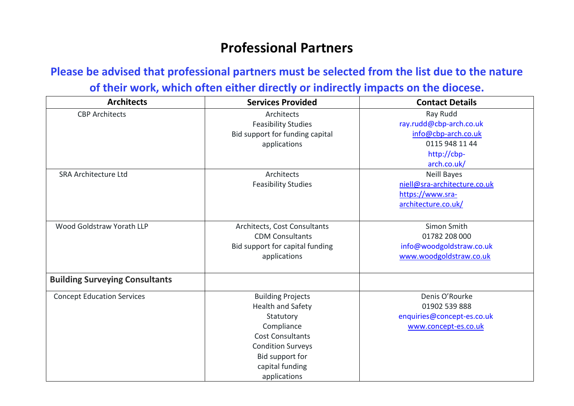## **Professional Partners**

## **Please be advised that professional partners must be selected from the list due to the nature of their work, which often either directly or indirectly impacts on the diocese.**

| <b>Architects</b>                     | <b>Services Provided</b>        | <b>Contact Details</b>       |
|---------------------------------------|---------------------------------|------------------------------|
| <b>CBP Architects</b>                 | Architects                      | Ray Rudd                     |
|                                       | <b>Feasibility Studies</b>      | ray.rudd@cbp-arch.co.uk      |
|                                       | Bid support for funding capital | info@cbp-arch.co.uk          |
|                                       | applications                    | 0115 948 11 44               |
|                                       |                                 | http://cbp-                  |
|                                       |                                 | arch.co.uk/                  |
| <b>SRA Architecture Ltd</b>           | Architects                      | <b>Neill Bayes</b>           |
|                                       | <b>Feasibility Studies</b>      | niell@sra-architecture.co.uk |
|                                       |                                 | https://www.sra-             |
|                                       |                                 | architecture.co.uk/          |
|                                       |                                 |                              |
| Wood Goldstraw Yorath LLP             | Architects, Cost Consultants    | Simon Smith                  |
|                                       | <b>CDM Consultants</b>          | 01782 208 000                |
|                                       | Bid support for capital funding | info@woodgoldstraw.co.uk     |
|                                       | applications                    | www.woodgoldstraw.co.uk      |
|                                       |                                 |                              |
| <b>Building Surveying Consultants</b> |                                 |                              |
| <b>Concept Education Services</b>     | <b>Building Projects</b>        | Denis O'Rourke               |
|                                       | <b>Health and Safety</b>        | 01902 539 888                |
|                                       | Statutory                       | enquiries@concept-es.co.uk   |
|                                       | Compliance                      | www.concept-es.co.uk         |
|                                       | <b>Cost Consultants</b>         |                              |
|                                       | <b>Condition Surveys</b>        |                              |
|                                       | Bid support for                 |                              |
|                                       | capital funding                 |                              |
|                                       | applications                    |                              |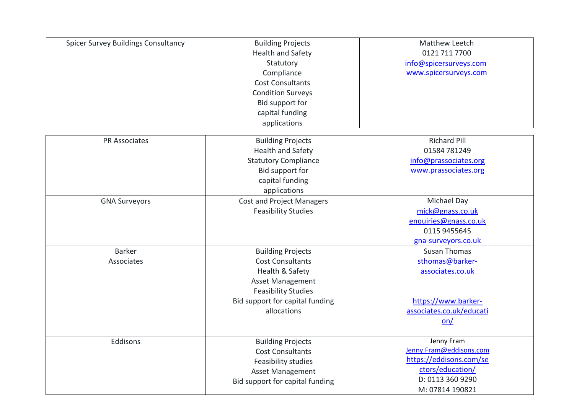| <b>Spicer Survey Buildings Consultancy</b> | <b>Building Projects</b><br><b>Health and Safety</b><br>Statutory<br>Compliance<br><b>Cost Consultants</b><br><b>Condition Surveys</b><br>Bid support for<br>capital funding<br>applications | Matthew Leetch<br>0121 711 7700<br>info@spicersurveys.com<br>www.spicersurveys.com                                          |
|--------------------------------------------|----------------------------------------------------------------------------------------------------------------------------------------------------------------------------------------------|-----------------------------------------------------------------------------------------------------------------------------|
| <b>PR Associates</b>                       | <b>Building Projects</b><br><b>Health and Safety</b><br><b>Statutory Compliance</b><br>Bid support for<br>capital funding<br>applications                                                    | <b>Richard Pill</b><br>01584 781249<br>info@prassociates.org<br>www.prassociates.org                                        |
| <b>GNA Surveyors</b>                       | <b>Cost and Project Managers</b><br><b>Feasibility Studies</b>                                                                                                                               | Michael Day<br>mick@gnass.co.uk<br>enquiries@gnass.co.uk<br>0115 9455645<br>gna-surveyors.co.uk                             |
| <b>Barker</b><br>Associates                | <b>Building Projects</b><br><b>Cost Consultants</b><br>Health & Safety<br><b>Asset Management</b><br><b>Feasibility Studies</b><br>Bid support for capital funding<br>allocations            | <b>Susan Thomas</b><br>sthomas@barker-<br>associates.co.uk<br>https://www.barker-<br>associates.co.uk/educati<br>on/        |
| Eddisons                                   | <b>Building Projects</b><br><b>Cost Consultants</b><br>Feasibility studies<br><b>Asset Management</b><br>Bid support for capital funding                                                     | Jenny Fram<br>Jenny.Fram@eddisons.com<br>https://eddisons.com/se<br>ctors/education/<br>D: 0113 360 9290<br>M: 07814 190821 |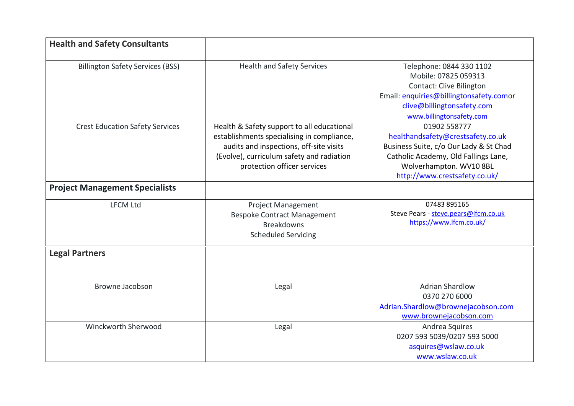| <b>Health and Safety Consultants</b>    |                                                                                                                                                                                                                 |                                                                                                                                                                                                 |
|-----------------------------------------|-----------------------------------------------------------------------------------------------------------------------------------------------------------------------------------------------------------------|-------------------------------------------------------------------------------------------------------------------------------------------------------------------------------------------------|
| <b>Billington Safety Services (BSS)</b> | <b>Health and Safety Services</b>                                                                                                                                                                               | Telephone: 0844 330 1102<br>Mobile: 07825 059313<br><b>Contact: Clive Bilington</b><br>Email: enquiries@billingtonsafety.comor<br>clive@billingtonsafety.com<br>www.billingtonsafety.com        |
| <b>Crest Education Safety Services</b>  | Health & Safety support to all educational<br>establishments specialising in compliance,<br>audits and inspections, off-site visits<br>(Evolve), curriculum safety and radiation<br>protection officer services | 01902 558777<br>healthandsafety@crestsafety.co.uk<br>Business Suite, c/o Our Lady & St Chad<br>Catholic Academy, Old Fallings Lane,<br>Wolverhampton. WV10 8BL<br>http://www.crestsafety.co.uk/ |
| <b>Project Management Specialists</b>   |                                                                                                                                                                                                                 |                                                                                                                                                                                                 |
| <b>LFCM Ltd</b>                         | <b>Project Management</b><br><b>Bespoke Contract Management</b><br><b>Breakdowns</b><br><b>Scheduled Servicing</b>                                                                                              | 07483 895165<br>Steve Pears - steve.pears@lfcm.co.uk<br>https://www.lfcm.co.uk/                                                                                                                 |
| <b>Legal Partners</b>                   |                                                                                                                                                                                                                 |                                                                                                                                                                                                 |
| <b>Browne Jacobson</b>                  | Legal                                                                                                                                                                                                           | <b>Adrian Shardlow</b><br>0370 270 6000<br>Adrian.Shardlow@brownejacobson.com<br>www.brownejacobson.com                                                                                         |
| Winckworth Sherwood                     | Legal                                                                                                                                                                                                           | Andrea Squires<br>0207 593 5039/0207 593 5000<br>asquires@wslaw.co.uk<br>www.wslaw.co.uk                                                                                                        |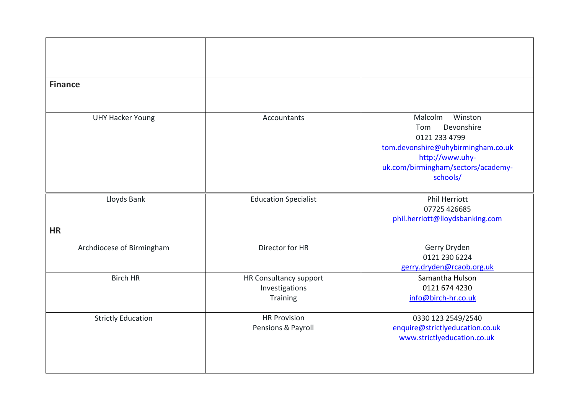| <b>Finance</b>            |                             |                                    |
|---------------------------|-----------------------------|------------------------------------|
|                           |                             |                                    |
|                           |                             |                                    |
| <b>UHY Hacker Young</b>   | Accountants                 | Winston<br>Malcolm                 |
|                           |                             | Devonshire<br>Tom                  |
|                           |                             | 0121 233 4799                      |
|                           |                             | tom.devonshire@uhybirmingham.co.uk |
|                           |                             | http://www.uhy-                    |
|                           |                             | uk.com/birmingham/sectors/academy- |
|                           |                             | schools/                           |
| Lloyds Bank               | <b>Education Specialist</b> | Phil Herriott                      |
|                           |                             | 07725 426685                       |
|                           |                             | phil.herriott@lloydsbanking.com    |
| <b>HR</b>                 |                             |                                    |
| Archdiocese of Birmingham | Director for HR             | Gerry Dryden                       |
|                           |                             | 0121 230 6224                      |
|                           |                             | gerry.dryden@rcaob.org.uk          |
| <b>Birch HR</b>           | HR Consultancy support      | Samantha Hulson                    |
|                           | Investigations              | 0121 674 4230                      |
|                           | Training                    | info@birch-hr.co.uk                |
| <b>Strictly Education</b> | <b>HR Provision</b>         | 0330 123 2549/2540                 |
|                           | Pensions & Payroll          | enquire@strictlyeducation.co.uk    |
|                           |                             | www.strictlyeducation.co.uk        |
|                           |                             |                                    |
|                           |                             |                                    |
|                           |                             |                                    |